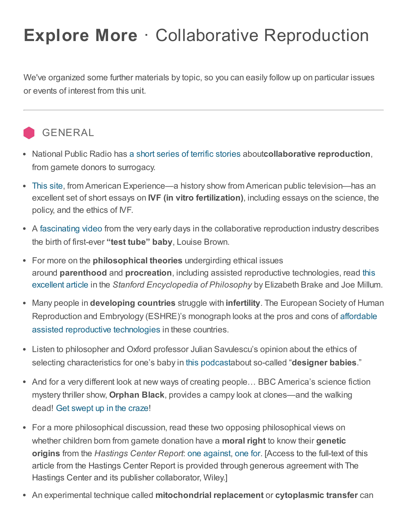## Explore More · Collaborative Reproduction

We've organized some further materials by topic, so you can easily follow up on particular issues or events of interest from this unit.

## **GENERAL**

- National Public Radio has a short series of terrific [stories](http://www.npr.org/series/136506904/making-babies-how-ivf-is-changing-lives) aboutcollaborative reproduction, from gamete donors to surrogacy.
- [This](http://www.pbs.org/wgbh/americanexperience/features/introduction/babies-introduction/) site, from American Experience—a history show from American public television—has an excellent set of short essays on **IVF (in vitro fertilization)**, including essays on the science, the policy, and the ethics of IVF.
- A [fascinating](http://www.ivfpodcasts.com/IVF_Podcasts/Podcasts.php?Test-Tube-Baby---The-First-Birth-40) video from the very early days in the collaborative reproduction industry describes the birth of first-ever "test tube" baby, Louise Brown.
- For more on the **philosophical theories** undergirding ethical issues around parenthood and procreation, including assisted reproductive [technologies,](http://plato.stanford.edu/entries/parenthood/) read this excellent article in the Stanford Encyclopedia of Philosophy by Elizabeth Brake and Joe Millum.
- Many people in **developing countries** struggle with **infertility**. The European Society of Human [Reproduction](http://www.google.com/url?q=http%3A%2F%2Feshremonographs.oxfordjournals.org%2Fcontent%2F2008%2F1%2F12.full.pdf%2Bhtml&sa=D&sntz=1&usg=AFQjCNG4D0Dgqp7NKQqJ7dr55Ym0q4jRfw) and Embryology (ESHRE)'s monograph looks at the pros and cons of affordable assisted reproductive technologies in these countries.
- Listen to philosopher and Oxford professor Julian Savulescu's opinion about the ethics of selecting characteristics for one's baby in this [podcasta](http://media.philosophy.ox.ac.uk/bioethicsbites/Savulescu.mp3)bout so-called "designer babies."
- And for a very different look at new ways of creating people... BBC America's science fiction mystery thriller show, Orphan Black, provides a campy look at clones—and the walking dead! Get [swept](http://www.bbcamerica.com/orphan-black/) up in the craze!
- For a more philosophical discussion, read these two opposing philosophical views on whether children born from gamete donation have a **moral right** to know their genetic origins from the Hastings Center Report: one [against,](http://onlinelibrary.wiley.com/doi/10.1002/hast.285/abstract) [one](http://onlinelibrary.wiley.com/doi/10.1002/hast.286/abstract) for. [Access to the full-text of this article from the Hastings Center Report is provided through generous agreement with The Hastings Center and its publisher collaborator, Wiley.]
- An experimental technique called mitochondrial replacement or cytoplasmic transfer can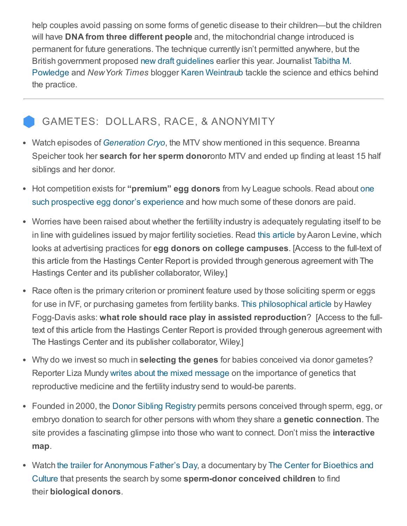help couples avoid passing on some forms of genetic disease to their children—but the children will have **DNA from three different people** and, the mitochondrial change introduced is permanent for future generations. The technique currently isn't permitted anywhere, but the British [government](http://www.geneticliteracyproject.org/2014/02/18/three-parent-baby-debate-fda-ponders-mitochondrial-manipulation-and-perhaps-germline-modification-too/#.U2f8pqK9aeE) proposed new draft [guidelines](http://www.telegraph.co.uk/science/science-news/10665553/Three-parent-babies-could-be-born-in-Britain-next-year.html) earlier this year. Journalist Tabitha M. Powledge and NewYork Times blogger Karen [Weintraub](http://well.blogs.nytimes.com/2013/12/16/three-biological-parents-and-a-baby/) tackle the science and ethics behind the practice.

## GAMETES: DOLLARS, RACE, & ANONYMITY

- Watch episodes of [Generation](http://www.google.com/url?q=http%3A%2F%2Fwww.mtv.com%2Fshows%2Fgeneration_cryo%2Fvideo.jhtml%3Ffilter%3Dfulleps&sa=D&sntz=1&usg=AFQjCNH7cub0uuT7WYzxXGuT-ta3DEiSqA) Cryo, the MTV show mentioned in this sequence. Breanna Speicher took her **search for her sperm donor**onto MTV and ended up finding at least 15 half siblings and her donor.
- Hot competition exists for "**premium" egg donors** from My League schools. Read about one such prospective egg donor's experience and how much some of these donors are paid.
- Worries have been raised about whether the fertililty industry is adequately regulating itself to be in line with guidelines issued by major fertility societies. Read this [article](http://onlinelibrary.wiley.com/doi/10.1353/hcr.0.0245/abstract) by Aaron Levine, which looks at advertising practices for egg donors on college campuses. [Access to the full-text of this article from the Hastings Center Report is provided through generous agreement with The Hastings Center and its publisher collaborator, Wiley.]
- Race often is the primary criterion or prominent feature used by those soliciting sperm or eggs for use in IVF, or purchasing gametes from fertility banks. This [philosophical](http://onlinelibrary.wiley.com/doi/10.2307/3527700/abstract) article by Hawley Fogg-Davis asks: what role should race play in assisted reproduction? [Access to the fulltext of this article from the Hastings Center Report is provided through generous agreement with The Hastings Center and its publisher collaborator, Wiley.]
- Why do we invest so much in **selecting the genes** for babies conceived via donor gametes? Reporter Liza Mundy writes about the mixed [message](http://www.google.com/url?q=http%3A%2F%2Fwww.washingtonpost.com%2Fwp-dyn%2Fcontent%2Farticle%2F2006%2F12%2F15%2FAR2006121501827.html&sa=D&sntz=1&usg=AFQjCNEDedmCvWhBxjM0W18uHQy_WVYjrA) on the importance of genetics that reproductive medicine and the fertility industry send to would-be parents.
- Founded in 2000, the Donor Sibling [Registry](https://www.donorsiblingregistry.com/) permits persons conceived through sperm, egg, or embryo donation to search for other persons with whom they share a genetic connection. The site provides a fascinating glimpse into those who want to connect. Don't miss the **interactive** map.
- Watch the trailer for [Anonymous](http://www.anonymousfathersday.com/) Father's Day, a documentary by The Center for Bioethics and Culture that presents the search by some [sperm-donor](http://www.cbc-network.org/) conceived children to find their biological donors.